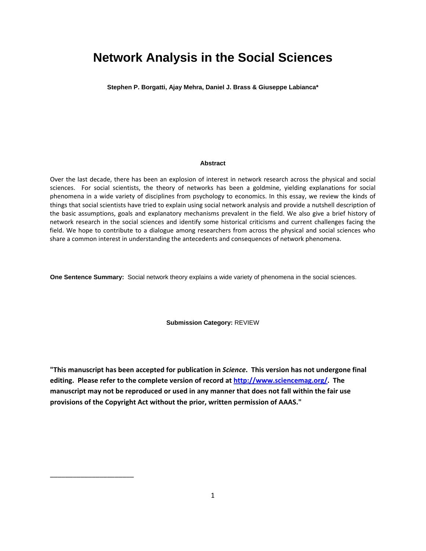# **Network Analysis in the Social Sciences**

**Stephen P. Borgatti, Ajay Mehra, Daniel J. Brass & Giuseppe Labianca\***

#### **Abstract**

Over the last decade, there has been an explosion of interest in network research across the physical and social sciences. For social scientists, the theory of networks has been a goldmine, yielding explanations for social phenomena in a wide variety of disciplines from psychology to economics. In this essay, we review the kinds of things that social scientists have tried to explain using social network analysis and provide a nutshell description of the basic assumptions, goals and explanatory mechanisms prevalent in the field. We also give a brief history of network research in the social sciences and identify some historical criticisms and current challenges facing the field. We hope to contribute to a dialogue among researchers from across the physical and social sciences who share a common interest in understanding the antecedents and consequences of network phenomena.

**One Sentence Summary:** Social network theory explains a wide variety of phenomena in the social sciences.

**Submission Category:** REVIEW

**"This manuscript has been accepted for publication in** *Science***. This version has not undergone final editing. Please refer to the complete version of record at [http://www.sciencemag.org/.](http://www.sciencemag.org/) The manuscript may not be reproduced or used in any manner that does not fall within the fair use provisions of the Copyright Act without the prior, written permission of AAAS."**

\_\_\_\_\_\_\_\_\_\_\_\_\_\_\_\_\_\_\_\_\_\_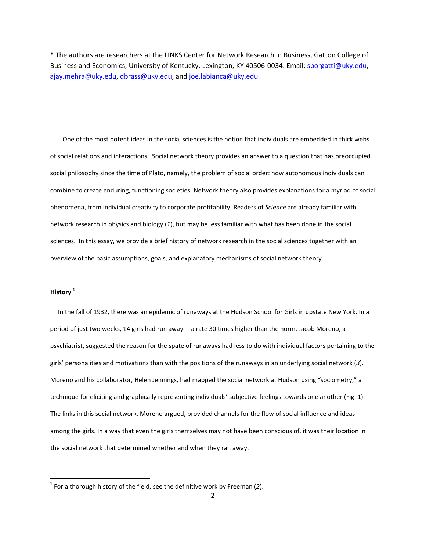\* The authors are researchers at the LINKS Center for Network Research in Business, Gatton College of Business and Economics, University of Kentucky, Lexington, KY 40506‐0034. Email: [sborgatti@uky.edu](mailto:sborgatti@uky.edu), [ajay.mehra@uky.edu](mailto:ajay.mehra@uky.edu), [dbrass@uky.edu](mailto:dbrass@uky.edu), and [joe.labianca@uky.edu](mailto:joe.labianca@uky.edu).

One of the most potent ideas in the social sciences is the notion that individuals are embedded in thick webs of social relations and interactions. Social network theory provides an answer to a question that has preoccupied social philosophy since the time of Plato, namely, the problem of social order: how autonomous individuals can combine to create enduring, functioning societies. Network theory also provides explanations for a myriad of social phenomena, from individual creativity to corporate profitability. Readers of *Science* are already familiar with network research in physics and biology (*1*), but may be less familiar with what has been done in the social sciences. In this essay, we provide a brief history of network research in the social sciences together with an overview of the basic assumptions, goals, and explanatory mechanisms of social network theory.

## **History [1](#page-1-0)**

 In the fall of 1932, there was an epidemic of runaways at the Hudson School for Girls in upstate New York. In a period of just two weeks, 14 girls had run away— a rate 30 times higher than the norm. Jacob Moreno, a psychiatrist, suggested the reason for the spate of runaways had less to do with individual factors pertaining to the girls' personalities and motivations than with the positions of the runaways in an underlying social network (*3*). Moreno and his collaborator, Helen Jennings, had mapped the social network at Hudson using "sociometry," a technique for eliciting and graphically representing individuals' subjective feelings towards one another (Fig. 1). The links in this social network, Moreno argued, provided channels for the flow of social influence and ideas among the girls. In a way that even the girls themselves may not have been conscious of, it was their location in the social network that determined whether and when they ran away.

<span id="page-1-0"></span><sup>1</sup> For a thorough history of the field, see the definitive work by Freeman (*2*).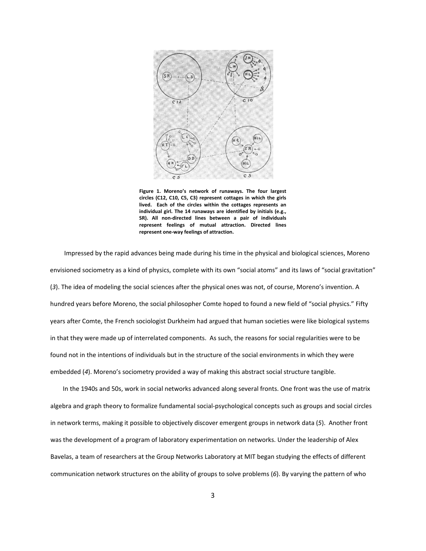

**Figure 1. Moreno's network of runaways. The four largest circles (C12, C10, C5, C3) represent cottages in which the girls lived. Each of the circles within the cottages represents an individual girl. The 14 runaways are identified by initials (e.g., SR). All non‐directed lines between a pair of individuals represent feelings of mutual attraction. Directed lines represent one‐way feelings of attraction.**

Impressed by the rapid advances being made during his time in the physical and biological sciences, Moreno envisioned sociometry as a kind of physics, complete with its own "social atoms" and its laws of "social gravitation" (*3*). The idea of modeling the social sciences after the physical ones was not, of course, Moreno's invention. A hundred years before Moreno, the social philosopher Comte hoped to found a new field of "social physics." Fifty years after Comte, the French sociologist Durkheim had argued that human societies were like biological systems in that they were made up of interrelated components. As such, the reasons for social regularities were to be found not in the intentions of individuals but in the structure of the social environments in which they were embedded (*4*). Moreno's sociometry provided a way of making this abstract social structure tangible.

In the 1940s and 50s, work in social networks advanced along several fronts. One front was the use of matrix algebra and graph theory to formalize fundamental social‐psychological concepts such as groups and social circles in network terms, making it possible to objectively discover emergent groups in network data (*5*). Another front was the development of a program of laboratory experimentation on networks. Under the leadership of Alex Bavelas, a team of researchers at the Group Networks Laboratory at MIT began studying the effects of different communication network structures on the ability of groups to solve problems (*6*). By varying the pattern of who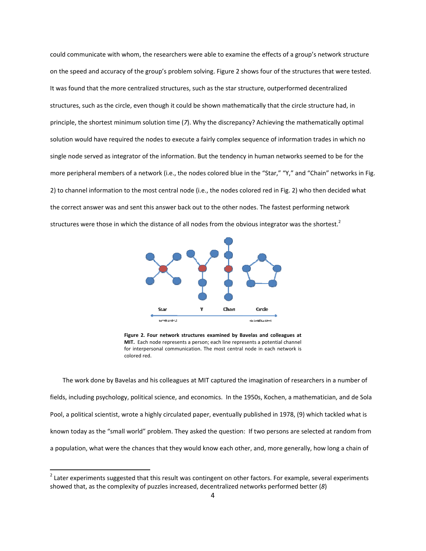could communicate with whom, the researchers were able to examine the effects of a group's network structure on the speed and accuracy of the group's problem solving. Figure 2 shows four of the structures that were tested. It was found that the more centralized structures, such as the star structure, outperformed decentralized structures, such as the circle, even though it could be shown mathematically that the circle structure had, in principle, the shortest minimum solution time (*7*). Why the discrepancy? Achieving the mathematically optimal solution would have required the nodes to execute a fairly complex sequence of information trades in which no single node served as integrator of the information. But the tendency in human networks seemed to be for the more peripheral members of a network (i.e., the nodes colored blue in the "Star," "Y," and "Chain" networks in Fig. 2) to channel information to the most central node (i.e., the nodes colored red in Fig. 2) who then decided what the correct answer was and sent this answer back out to the other nodes. The fastest performing network structures were those in which the distance of all nodes from the obvious integrator was the shortest.<sup>[2](#page-3-0)</sup>



**Figure 2. Four network structures examined by Bavelas and colleagues at MIT.** Each node represents a person; each line represents a potential channel for interpersonal communication. The most central node in each network is colored red.

The work done by Bavelas and his colleagues at MIT captured the imagination of researchers in a number of fields, including psychology, political science, and economics. In the 1950s, Kochen, a mathematician, and de Sola Pool, a political scientist, wrote a highly circulated paper, eventually published in 1978, (9) which tackled what is known today as the "small world" problem. They asked the question: If two persons are selected at random from a population, what were the chances that they would know each other, and, more generally, how long a chain of

<span id="page-3-0"></span> $<sup>2</sup>$  Later experiments suggested that this result was contingent on other factors. For example, several experiments</sup> showed that, as the complexity of puzzles increased, decentralized networks performed better (*8*)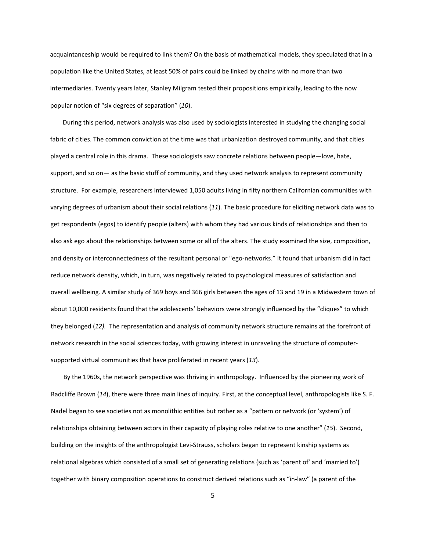acquaintanceship would be required to link them? On the basis of mathematical models, they speculated that in a population like the United States, at least 50% of pairs could be linked by chains with no more than two intermediaries. Twenty years later, Stanley Milgram tested their propositions empirically, leading to the now popular notion of "six degrees of separation" (*10*).

During this period, network analysis was also used by sociologists interested in studying the changing social fabric of cities. The common conviction at the time was that urbanization destroyed community, and that cities played a central role in this drama. These sociologists saw concrete relations between people—love, hate, support, and so on— as the basic stuff of community, and they used network analysis to represent community structure. For example, researchers interviewed 1,050 adults living in fifty northern Californian communities with varying degrees of urbanism about their social relations (*11*). The basic procedure for eliciting network data was to get respondents (egos) to identify people (alters) with whom they had various kinds of relationships and then to also ask ego about the relationships between some or all of the alters. The study examined the size, composition, and density or interconnectedness of the resultant personal or "ego-networks." It found that urbanism did in fact reduce network density, which, in turn, was negatively related to psychological measures of satisfaction and overall wellbeing*.* A similar study of 369 boys and 366 girls between the ages of 13 and 19 in a Midwestern town of about 10,000 residents found that the adolescents' behaviors were strongly influenced by the "cliques" to which they belonged (*12).* The representation and analysis of community network structure remains at the forefront of network research in the social sciences today, with growing interest in unraveling the structure of computer‐ supported virtual communities that have proliferated in recent years (*13*).

By the 1960s, the network perspective was thriving in anthropology. Influenced by the pioneering work of Radcliffe Brown (*14*), there were three main lines of inquiry. First, at the conceptual level, anthropologists like S. F. Nadel began to see societies not as monolithic entities but rather as a "pattern or network (or 'system') of relationships obtaining between actors in their capacity of playing roles relative to one another" (*15*). Second, building on the insights of the anthropologist Levi‐Strauss, scholars began to represent kinship systems as relational algebras which consisted of a small set of generating relations (such as 'parent of' and 'married to') together with binary composition operations to construct derived relations such as "in‐law" (a parent of the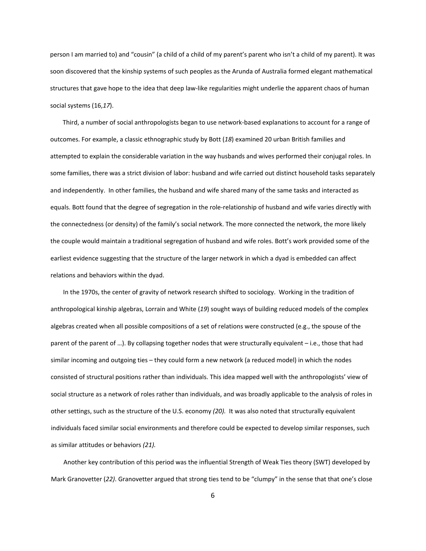person I am married to) and "cousin" (a child of a child of my parent's parent who isn't a child of my parent). It was soon discovered that the kinship systems of such peoples as the Arunda of Australia formed elegant mathematical structures that gave hope to the idea that deep law-like regularities might underlie the apparent chaos of human social systems (16,*17*).

Third, a number of social anthropologists began to use network‐based explanations to account for a range of outcomes. For example, a classic ethnographic study by Bott (*18*) examined 20 urban British families and attempted to explain the considerable variation in the way husbands and wives performed their conjugal roles. In some families, there was a strict division of labor: husband and wife carried out distinct household tasks separately and independently. In other families, the husband and wife shared many of the same tasks and interacted as equals. Bott found that the degree of segregation in the role‐relationship of husband and wife varies directly with the connectedness (or density) of the family's social network. The more connected the network, the more likely the couple would maintain a traditional segregation of husband and wife roles. Bott's work provided some of the earliest evidence suggesting that the structure of the larger network in which a dyad is embedded can affect relations and behaviors within the dyad.

In the 1970s, the center of gravity of network research shifted to sociology. Working in the tradition of anthropological kinship algebras, Lorrain and White (*19*) sought ways of building reduced models of the complex algebras created when all possible compositions of a set of relations were constructed (e.g., the spouse of the parent of the parent of …). By collapsing together nodes that were structurally equivalent – i.e., those that had similar incoming and outgoing ties – they could form a new network (a reduced model) in which the nodes consisted of structural positions rather than individuals. This idea mapped well with the anthropologists' view of social structure as a network of roles rather than individuals, and was broadly applicable to the analysis of roles in other settings, such as the structure of the U.S. economy *(20).* It was also noted that structurally equivalent individuals faced similar social environments and therefore could be expected to develop similar responses, such as similar attitudes or behaviors *(21).*

Another key contribution of this period was the influential Strength of Weak Ties theory (SWT) developed by Mark Granovetter (*22)*. Granovetter argued that strong ties tend to be "clumpy" in the sense that that one's close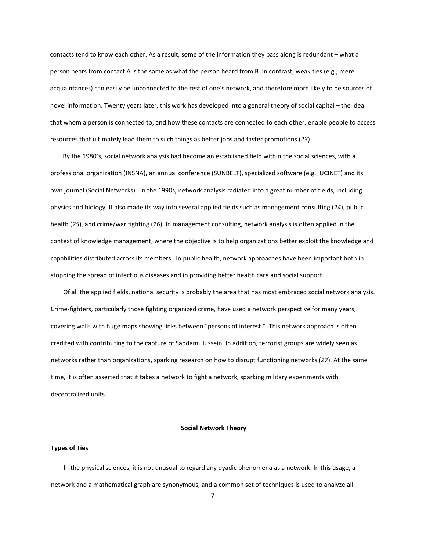contacts tend to know each other. As a result, some of the information they pass along is redundant – what a person hears from contact A is the same as what the person heard from B. In contrast, weak ties (e.g., mere acquaintances) can easily be unconnected to the rest of one's network, and therefore more likely to be sources of novel information. Twenty years later, this work has developed into a general theory of social capital – the idea that whom a person is connected to, and how these contacts are connected to each other, enable people to access resources that ultimately lead them to such things as better jobs and faster promotions (*23*).

By the 1980's, social network analysis had become an established field within the social sciences, with a professional organization (INSNA), an annual conference (SUNBELT), specialized software (e.g., UCINET) and its own journal (Social Networks). In the 1990s, network analysis radiated into a great number of fields, including physics and biology. It also made its way into several applied fields such as management consulting (*24*), public health (*25*), and crime/war fighting (*26*). In management consulting, network analysis is often applied in the context of knowledge management, where the objective is to help organizations better exploit the knowledge and capabilities distributed across its members. In public health, network approaches have been important both in stopping the spread of infectious diseases and in providing better health care and social support.

Of all the applied fields, national security is probably the area that has most embraced social network analysis. Crime‐fighters, particularly those fighting organized crime, have used a network perspective for many years, covering walls with huge maps showing links between "persons of interest." This network approach is often credited with contributing to the capture of Saddam Hussein. In addition, terrorist groups are widely seen as networks rather than organizations, sparking research on how to disrupt functioning networks (*27*). At the same time, it is often asserted that it takes a network to fight a network, sparking military experiments with decentralized units.

## **Social Network Theory**

### **Types of Ties**

In the physical sciences, it is not unusual to regard any dyadic phenomena as a network. In this usage, a network and a mathematical graph are synonymous, and a common set of techniques is used to analyze all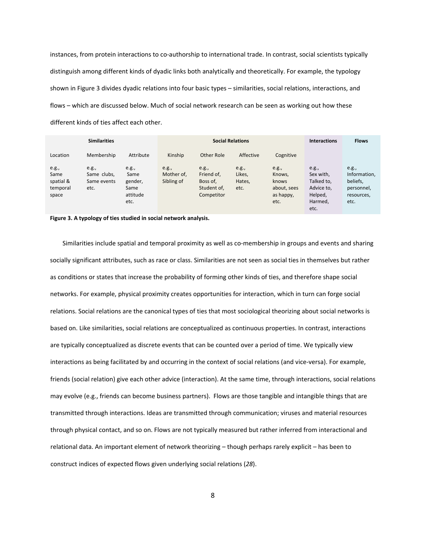instances, from protein interactions to co-authorship to international trade. In contrast, social scientists typically distinguish among different kinds of dyadic links both analytically and theoretically. For example, the typology shown in Figure 3 divides dyadic relations into four basic types – similarities, social relations, interactions, and flows – which are discussed below. Much of social network research can be seen as working out how these different kinds of ties affect each other.

| <b>Similarities</b>                             |                                             |                                                      | <b>Social Relations</b>           |                                                              |                                   |                                                              | <b>Interactions</b>                                                          | <b>Flows</b>                                                          |
|-------------------------------------------------|---------------------------------------------|------------------------------------------------------|-----------------------------------|--------------------------------------------------------------|-----------------------------------|--------------------------------------------------------------|------------------------------------------------------------------------------|-----------------------------------------------------------------------|
| Location                                        | Membership                                  | Attribute                                            | Kinship                           | Other Role                                                   | Affective                         | Cognitive                                                    |                                                                              |                                                                       |
| e.g.,<br>Same<br>spatial &<br>temporal<br>space | e.g.,<br>Same clubs,<br>Same events<br>etc. | e.g.,<br>Same<br>gender,<br>Same<br>attitude<br>etc. | e.g.,<br>Mother of,<br>Sibling of | e.g.,<br>Friend of,<br>Boss of,<br>Student of,<br>Competitor | e.g.,<br>Likes.<br>Hates,<br>etc. | e.g.,<br>Knows,<br>knows<br>about, sees<br>as happy,<br>etc. | e.g.,<br>Sex with,<br>Talked to,<br>Advice to,<br>Helped,<br>Harmed,<br>etc. | e.g.,<br>Information,<br>beliefs,<br>personnel,<br>resources,<br>etc. |



Similarities include spatial and temporal proximity as well as co-membership in groups and events and sharing socially significant attributes, such as race or class. Similarities are not seen as social ties in themselves but rather as conditions or states that increase the probability of forming other kinds of ties, and therefore shape social networks. For example, physical proximity creates opportunities for interaction, which in turn can forge social relations. Social relations are the canonical types of ties that most sociological theorizing about social networks is based on. Like similarities, social relations are conceptualized as continuous properties. In contrast, interactions are typically conceptualized as discrete events that can be counted over a period of time. We typically view interactions as being facilitated by and occurring in the context of social relations (and vice-versa). For example, friends (social relation) give each other advice (interaction). At the same time, through interactions, social relations may evolve (e.g., friends can become business partners). Flows are those tangible and intangible things that are transmitted through interactions. Ideas are transmitted through communication; viruses and material resources through physical contact, and so on. Flows are not typically measured but rather inferred from interactional and relational data. An important element of network theorizing – though perhaps rarely explicit – has been to construct indices of expected flows given underlying social relations (*28*).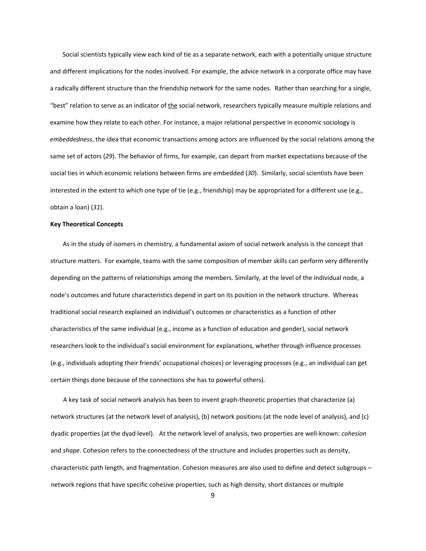Social scientists typically view each kind of tie as a separate network, each with a potentially unique structure and different implications for the nodes involved. For example, the advice network in a corporate office may have a radically different structure than the friendship network for the same nodes. Rather than searching for a single, "best" relation to serve as an indicator of the social network, researchers typically measure multiple relations and examine how they relate to each other. For instance, a major relational perspective in economic sociology is *embeddedness*, the idea that economic transactions among actors are influenced by the social relations among the same set of actors (*29*). The behavior of firms, for example, can depart from market expectations because of the social ties in which economic relations between firms are embedded (*30*). Similarly, social scientists have been interested in the extent to which one type of tie (e.g., friendship) may be appropriated for a different use (e.g., obtain a loan) (*31*).

#### **Key Theoretical Concepts**

As in the study of isomers in chemistry, a fundamental axiom of social network analysis is the concept that structure matters. For example, teams with the same composition of member skills can perform very differently depending on the patterns of relationships among the members. Similarly, at the level of the individual node, a node's outcomes and future characteristics depend in part on its position in the network structure. Whereas traditional social research explained an individual's outcomes or characteristics as a function of other characteristics of the same individual (e.g., income as a function of education and gender), social network researchers look to the individual's social environment for explanations, whether through influence processes (e.g., individuals adopting their friends' occupational choices) or leveraging processes (e.g., an individual can get certain things done because of the connections she has to powerful others).

A key task of social network analysis has been to invent graph‐theoretic properties that characterize (a) network structures (at the network level of analysis), (b) network positions (at the node level of analysis), and (c) dyadic properties (at the dyad level). At the network level of analysis, two properties are well‐known: *cohesion* and *shape*. Cohesion refers to the connectedness of the structure and includes properties such as density, characteristic path length, and fragmentation. Cohesion measures are also used to define and detect subgroups – network regions that have specific cohesive properties, such as high density, short distances or multiple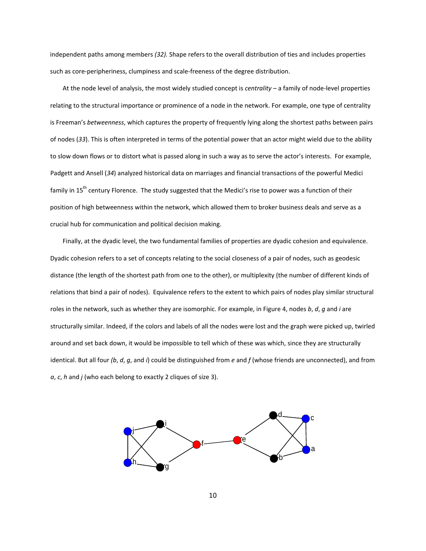independent paths among members *(32).* Shape refers to the overall distribution of ties and includes properties such as core‐peripheriness, clumpiness and scale‐freeness of the degree distribution.

At the node level of analysis, the most widely studied concept is *centrality* – a family of node‐level properties relating to the structural importance or prominence of a node in the network. For example, one type of centrality is Freeman's *betweenness*, which captures the property of frequently lying along the shortest paths between pairs of nodes (*33*). This is often interpreted in terms of the potential power that an actor might wield due to the ability to slow down flows or to distort what is passed along in such a way as to serve the actor's interests. For example, Padgett and Ansell (*34*) analyzed historical data on marriages and financial transactions of the powerful Medici family in 15<sup>th</sup> century Florence. The study suggested that the Medici's rise to power was a function of their position of high betweenness within the network, which allowed them to broker business deals and serve as a crucial hub for communication and political decision making.

Finally, at the dyadic level, the two fundamental families of properties are dyadic cohesion and equivalence. Dyadic cohesion refers to a set of concepts relating to the social closeness of a pair of nodes, such as geodesic distance (the length of the shortest path from one to the other), or multiplexity (the number of different kinds of relations that bind a pair of nodes). Equivalence refers to the extent to which pairs of nodes play similar structural roles in the network, such as whether they are isomorphic. For example, in Figure 4, nodes *b*, *d*, *g* and *i* are structurally similar. Indeed, if the colors and labels of all the nodes were lost and the graph were picked up, twirled around and set back down, it would be impossible to tell which of these was which, since they are structurally identical. But all four *(b*, *d*, *g*, and *i*) could be distinguished from *e* and *f* (whose friends are unconnected), and from *a*, *c*, *h* and *j* (who each belong to exactly 2 cliques of size 3).

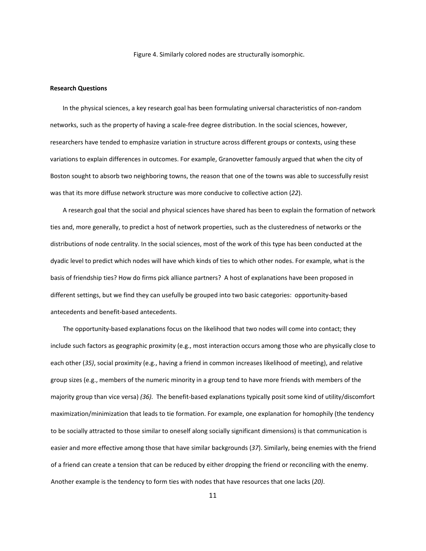Figure 4. Similarly colored nodes are structurally isomorphic.

#### **Research Questions**

In the physical sciences, a key research goal has been formulating universal characteristics of non‐random networks, such as the property of having a scale-free degree distribution. In the social sciences, however, researchers have tended to emphasize variation in structure across different groups or contexts, using these variations to explain differences in outcomes. For example, Granovetter famously argued that when the city of Boston sought to absorb two neighboring towns, the reason that one of the towns was able to successfully resist was that its more diffuse network structure was more conducive to collective action (*22*).

A research goal that the social and physical sciences have shared has been to explain the formation of network ties and, more generally, to predict a host of network properties, such as the clusteredness of networks or the distributions of node centrality. In the social sciences, most of the work of this type has been conducted at the dyadic level to predict which nodes will have which kinds of ties to which other nodes. For example, what is the basis of friendship ties? How do firms pick alliance partners? A host of explanations have been proposed in different settings, but we find they can usefully be grouped into two basic categories: opportunity‐based antecedents and benefit‐based antecedents.

The opportunity-based explanations focus on the likelihood that two nodes will come into contact; they include such factors as geographic proximity (e.g., most interaction occurs among those who are physically close to each other (*35)*, social proximity (e.g., having a friend in common increases likelihood of meeting), and relative group sizes (e.g., members of the numeric minority in a group tend to have more friends with members of the majority group than vice versa) (36). The benefit-based explanations typically posit some kind of utility/discomfort maximization/minimization that leads to tie formation. For example, one explanation for homophily (the tendency to be socially attracted to those similar to oneself along socially significant dimensions) is that communication is easier and more effective among those that have similar backgrounds (*37*). Similarly, being enemies with the friend of a friend can create a tension that can be reduced by either dropping the friend or reconciling with the enemy. Another example is the tendency to form ties with nodes that have resources that one lacks (*20)*.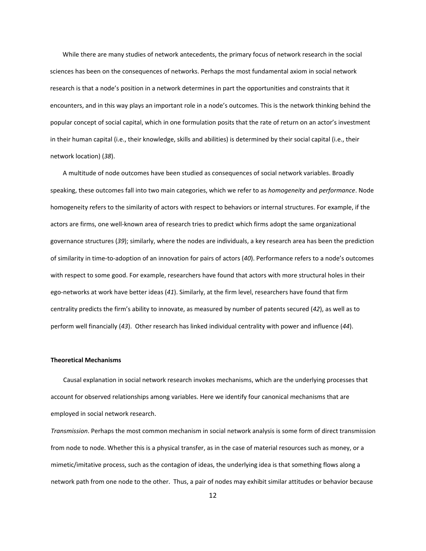While there are many studies of network antecedents, the primary focus of network research in the social sciences has been on the consequences of networks. Perhaps the most fundamental axiom in social network research is that a node's position in a network determines in part the opportunities and constraints that it encounters, and in this way plays an important role in a node's outcomes. This is the network thinking behind the popular concept of social capital, which in one formulation posits that the rate of return on an actor's investment in their human capital (i.e., their knowledge, skills and abilities) is determined by their social capital (i.e., their network location) (*38*).

A multitude of node outcomes have been studied as consequences of social network variables. Broadly speaking, these outcomes fall into two main categories, which we refer to as *homogeneity* and *performance*. Node homogeneity refers to the similarity of actors with respect to behaviors or internal structures. For example, if the actors are firms, one well-known area of research tries to predict which firms adopt the same organizational governance structures (*39*); similarly, where the nodes are individuals, a key research area has been the prediction of similarity in time‐to‐adoption of an innovation for pairs of actors (*40*). Performance refers to a node's outcomes with respect to some good. For example, researchers have found that actors with more structural holes in their ego‐networks at work have better ideas (*41*). Similarly, at the firm level, researchers have found that firm centrality predicts the firm's ability to innovate, as measured by number of patents secured (*42*), as well as to perform well financially (*43*). Other research has linked individual centrality with power and influence (*44*).

#### **Theoretical Mechanisms**

Causal explanation in social network research invokes mechanisms, which are the underlying processes that account for observed relationships among variables. Here we identify four canonical mechanisms that are employed in social network research.

*Transmission*. Perhaps the most common mechanism in social network analysis is some form of direct transmission from node to node. Whether this is a physical transfer, as in the case of material resources such as money, or a mimetic/imitative process, such as the contagion of ideas, the underlying idea is that something flows along a network path from one node to the other. Thus, a pair of nodes may exhibit similar attitudes or behavior because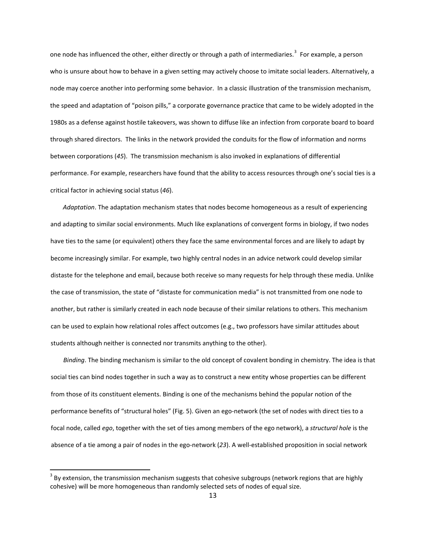one node has influenced the other, either directly or through a path of intermediaries.<sup>[3](#page-12-0)</sup> For example, a person who is unsure about how to behave in a given setting may actively choose to imitate social leaders. Alternatively, a node may coerce another into performing some behavior. In a classic illustration of the transmission mechanism, the speed and adaptation of "poison pills," a corporate governance practice that came to be widely adopted in the 1980s as a defense against hostile takeovers, was shown to diffuse like an infection from corporate board to board through shared directors. The links in the network provided the conduits for the flow of information and norms between corporations (*45*). The transmission mechanism is also invoked in explanations of differential performance. For example, researchers have found that the ability to access resources through one's social ties is a critical factor in achieving social status (*46*).

*Adaptation*. The adaptation mechanism states that nodes become homogeneous as a result of experiencing and adapting to similar social environments. Much like explanations of convergent forms in biology, if two nodes have ties to the same (or equivalent) others they face the same environmental forces and are likely to adapt by become increasingly similar. For example, two highly central nodes in an advice network could develop similar distaste for the telephone and email, because both receive so many requests for help through these media. Unlike the case of transmission, the state of "distaste for communication media" is not transmitted from one node to another, but rather is similarly created in each node because of their similar relations to others. This mechanism can be used to explain how relational roles affect outcomes (e.g., two professors have similar attitudes about students although neither is connected nor transmits anything to the other).

*Binding*. The binding mechanism is similar to the old concept of covalent bonding in chemistry. The idea is that social ties can bind nodes together in such a way as to construct a new entity whose properties can be different from those of its constituent elements. Binding is one of the mechanisms behind the popular notion of the performance benefits of "structural holes" (Fig. 5). Given an ego‐network (the set of nodes with direct ties to a focal node, called *ego*, together with the set of ties among members of the ego network), a *structural hole* is the absence of a tie among a pair of nodes in the ego‐network (*23*). A well‐established proposition in social network

<span id="page-12-0"></span> $3$  By extension, the transmission mechanism suggests that cohesive subgroups (network regions that are highly cohesive) will be more homogeneous than randomly selected sets of nodes of equal size.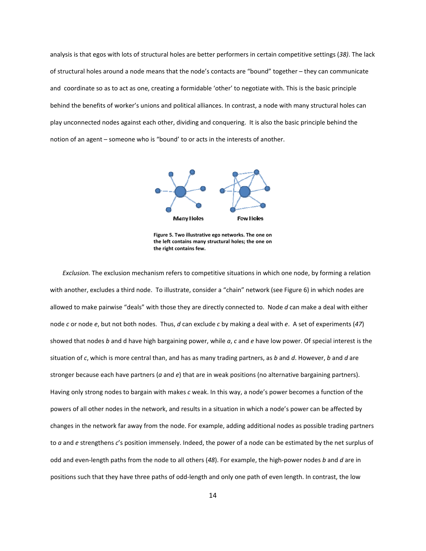analysis is that egos with lots of structural holes are better performers in certain competitive settings (*38)*. The lack of structural holes around a node means that the node's contacts are "bound" together – they can communicate and coordinate so as to act as one, creating a formidable 'other' to negotiate with. This is the basic principle behind the benefits of worker's unions and political alliances. In contrast, a node with many structural holes can play unconnected nodes against each other, dividing and conquering. It is also the basic principle behind the notion of an agent – someone who is "bound' to or acts in the interests of another.



**Figure 5. Two illustrative ego networks. The one on the left contains many structural holes; the one on the right contains few.**

*Exclusion.* The exclusion mechanism refers to competitive situations in which one node, by forming a relation with another, excludes a third node. To illustrate, consider a "chain" network (see Figure 6) in which nodes are allowed to make pairwise "deals" with those they are directly connected to. Node *d* can make a deal with either node *c* or node *e*, but not both nodes. Thus, *d* can exclude *c* by making a deal with *e*. A set of experiments (*47*) showed that nodes *b* and d have high bargaining power, while *a*, *c* and *e* have low power. Of special interest is the situation of *c*, which is more central than, and has as many trading partners, as *b* and *d*. However, *b* and *d* are stronger because each have partners (*a* and *e*) that are in weak positions (no alternative bargaining partners). Having only strong nodes to bargain with makes *c* weak. In this way, a node's power becomes a function of the powers of all other nodes in the network, and results in a situation in which a node's power can be affected by changes in the network far away from the node. For example, adding additional nodes as possible trading partners to *a* and *e* strengthens *c*'s position immensely. Indeed, the power of a node can be estimated by the net surplus of odd and even‐length paths from the node to all others (*48*). For example, the high‐power nodes *b* and *d* are in positions such that they have three paths of odd‐length and only one path of even length. In contrast, the low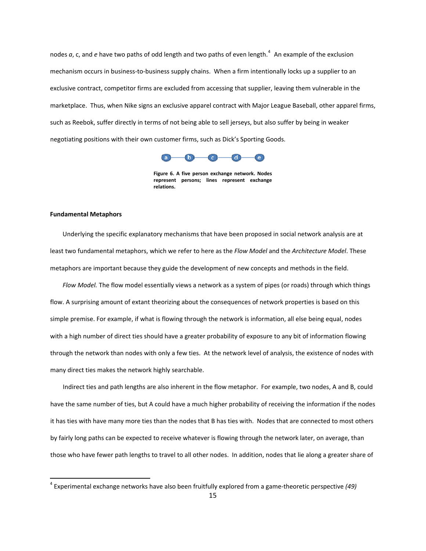nodes a, c, and e have two paths of odd length and two paths of even length.<sup>[4](#page-14-0)</sup> An example of the exclusion mechanism occurs in business‐to‐business supply chains. When a firm intentionally locks up a supplier to an exclusive contract, competitor firms are excluded from accessing that supplier, leaving them vulnerable in the marketplace. Thus, when Nike signs an exclusive apparel contract with Major League Baseball, other apparel firms, such as Reebok, suffer directly in terms of not being able to sell jerseys, but also suffer by being in weaker negotiating positions with their own customer firms, such as Dick's Sporting Goods.



**Figure 6. A five person exchange network. Nodes represent persons; lines represent exchange relations.**

## **Fundamental Metaphors**

Underlying the specific explanatory mechanisms that have been proposed in social network analysis are at least two fundamental metaphors, which we refer to here as the *Flow Model* and the *Architecture Model*. These metaphors are important because they guide the development of new concepts and methods in the field.

*Flow Model.* The flow model essentially views a network as a system of pipes (or roads) through which things flow. A surprising amount of extant theorizing about the consequences of network properties is based on this simple premise. For example, if what is flowing through the network is information, all else being equal, nodes with a high number of direct ties should have a greater probability of exposure to any bit of information flowing through the network than nodes with only a few ties. At the network level of analysis, the existence of nodes with many direct ties makes the network highly searchable.

Indirect ties and path lengths are also inherent in the flow metaphor. For example, two nodes, A and B, could have the same number of ties, but A could have a much higher probability of receiving the information if the nodes it has ties with have many more ties than the nodes that B has ties with. Nodes that are connected to most others by fairly long paths can be expected to receive whatever is flowing through the network later, on average, than those who have fewer path lengths to travel to all other nodes. In addition, nodes that lie along a greater share of

<span id="page-14-0"></span><sup>4</sup> Experimental exchange networks have also been fruitfully explored from a game‐theoretic perspective *(49)*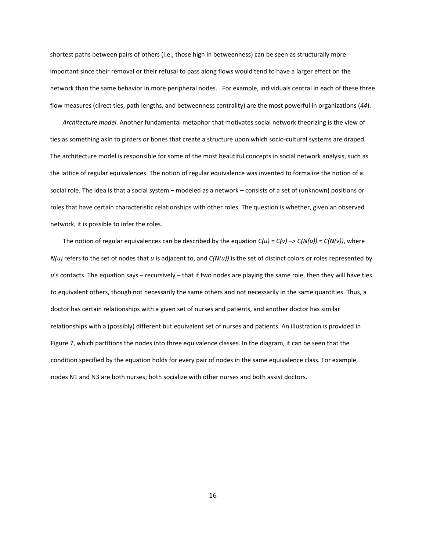shortest paths between pairs of others (i.e., those high in betweenness) can be seen as structurally more important since their removal or their refusal to pass along flows would tend to have a larger effect on the network than the same behavior in more peripheral nodes. For example, individuals central in each of these three flow measures (direct ties, path lengths, and betweenness centrality) are the most powerful in organizations (*44*).

*Architecture model*. Another fundamental metaphor that motivates social network theorizing is the view of ties as something akin to girders or bones that create a structure upon which socio‐cultural systems are draped. The architecture model is responsible for some of the most beautiful concepts in social network analysis, such as the lattice of regular equivalences. The notion of regular equivalence was invented to formalize the notion of a social role. The idea is that a social system – modeled as a network – consists of a set of (unknown) positions or roles that have certain characteristic relationships with other roles. The question is whether, given an observed network, it is possible to infer the roles.

The notion of regular equivalences can be described by the equation  $C(u) = C(v) \rightarrow C(N(u)) = C(N(v))$ , where *N(u)* refers to the set of nodes that *u* is adjacent to, and *C(N(u))* is the set of distinct colors or roles represented by *u*'s contacts. The equation says – recursively – that if two nodes are playing the same role, then they will have ties to equivalent others, though not necessarily the same others and not necessarily in the same quantities. Thus, a doctor has certain relationships with a given set of nurses and patients, and another doctor has similar relationships with a (possibly) different but equivalent set of nurses and patients. An illustration is provided in Figure 7, which partitions the nodes into three equivalence classes. In the diagram, it can be seen that the condition specified by the equation holds for every pair of nodes in the same equivalence class. For example, nodes N1 and N3 are both nurses; both socialize with other nurses and both assist doctors.

16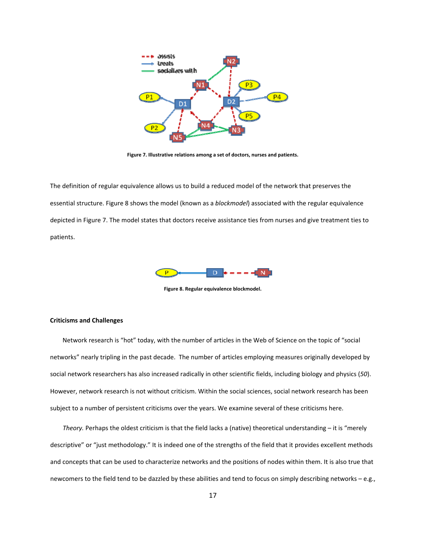

**Figure 7. Illustrative relations among a set of doctors, nurses and patients.**

The definition of regular equivalence allows us to build a reduced model of the network that preserves the essential structure. Figure 8 shows the model (known as a *blockmodel*) associated with the regular equivalence depicted in Figure 7. The model states that doctors receive assistance ties from nurses and give treatment ties to patients.



**Figure 8. Regular equivalence blockmodel.**

### **Criticisms and Challenges**

Network research is "hot" today, with the number of articles in the Web of Science on the topic of "social networks" nearly tripling in the past decade. The number of articles employing measures originally developed by social network researchers has also increased radically in other scientific fields, including biology and physics (*50*). However, network research is not without criticism. Within the social sciences, social network research has been subject to a number of persistent criticisms over the years. We examine several of these criticisms here.

*Theory.* Perhaps the oldest criticism is that the field lacks a (native) theoretical understanding – it is "merely descriptive" or "just methodology." It is indeed one of the strengths of the field that it provides excellent methods and concepts that can be used to characterize networks and the positions of nodes within them. It is also true that newcomers to the field tend to be dazzled by these abilities and tend to focus on simply describing networks – e.g.,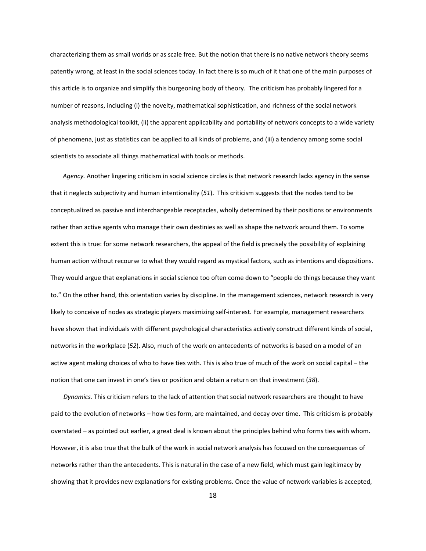characterizing them as small worlds or as scale free. But the notion that there is no native network theory seems patently wrong, at least in the social sciences today. In fact there is so much of it that one of the main purposes of this article is to organize and simplify this burgeoning body of theory. The criticism has probably lingered for a number of reasons, including (i) the novelty, mathematical sophistication, and richness of the social network analysis methodological toolkit, (ii) the apparent applicability and portability of network concepts to a wide variety of phenomena, just as statistics can be applied to all kinds of problems, and (iii) a tendency among some social scientists to associate all things mathematical with tools or methods.

*Agency.* Another lingering criticism in social science circles is that network research lacks agency in the sense that it neglects subjectivity and human intentionality (*51*). This criticism suggests that the nodes tend to be conceptualized as passive and interchangeable receptacles, wholly determined by their positions or environments rather than active agents who manage their own destinies as well as shape the network around them. To some extent this is true: for some network researchers, the appeal of the field is precisely the possibility of explaining human action without recourse to what they would regard as mystical factors, such as intentions and dispositions. They would argue that explanations in social science too often come down to "people do things because they want to." On the other hand, this orientation varies by discipline. In the management sciences, network research is very likely to conceive of nodes as strategic players maximizing self‐interest. For example, management researchers have shown that individuals with different psychological characteristics actively construct different kinds of social, networks in the workplace (*52*). Also, much of the work on antecedents of networks is based on a model of an active agent making choices of who to have ties with. This is also true of much of the work on social capital – the notion that one can invest in one's ties or position and obtain a return on that investment (*38*).

*Dynamics.* This criticism refers to the lack of attention that social network researchers are thought to have paid to the evolution of networks – how ties form, are maintained, and decay over time. This criticism is probably overstated – as pointed out earlier, a great deal is known about the principles behind who forms ties with whom. However, it is also true that the bulk of the work in social network analysis has focused on the consequences of networks rather than the antecedents. This is natural in the case of a new field, which must gain legitimacy by showing that it provides new explanations for existing problems. Once the value of network variables is accepted,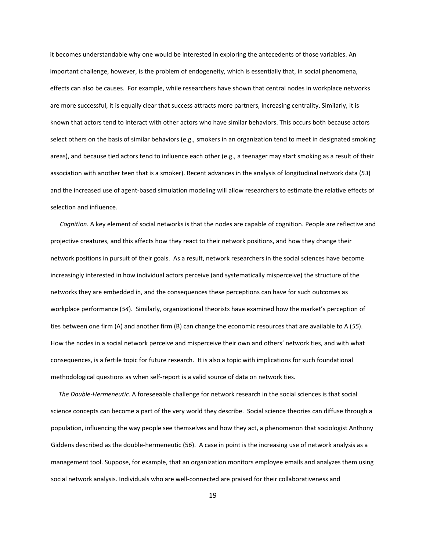it becomes understandable why one would be interested in exploring the antecedents of those variables. An important challenge, however, is the problem of endogeneity, which is essentially that, in social phenomena, effects can also be causes. For example, while researchers have shown that central nodes in workplace networks are more successful, it is equally clear that success attracts more partners, increasing centrality. Similarly, it is known that actors tend to interact with other actors who have similar behaviors. This occurs both because actors select others on the basis of similar behaviors (e.g., smokers in an organization tend to meet in designated smoking areas), and because tied actors tend to influence each other (e.g., a teenager may start smoking as a result of their association with another teen that is a smoker). Recent advances in the analysis of longitudinal network data (*53*) and the increased use of agent‐based simulation modeling will allow researchers to estimate the relative effects of selection and influence.

 *Cognition.* A key element of social networks is that the nodes are capable of cognition. People are reflective and projective creatures, and this affects how they react to their network positions, and how they change their network positions in pursuit of their goals. As a result, network researchers in the social sciences have become increasingly interested in how individual actors perceive (and systematically misperceive) the structure of the networks they are embedded in, and the consequences these perceptions can have for such outcomes as workplace performance (*54*). Similarly, organizational theorists have examined how the market's perception of ties between one firm (A) and another firm (B) can change the economic resources that are available to A (*55*). How the nodes in a social network perceive and misperceive their own and others' network ties, and with what consequences, is a fertile topic for future research. It is also a topic with implications for such foundational methodological questions as when self‐report is a valid source of data on network ties.

 *The Double‐Hermeneutic.* A foreseeable challenge for network research in the social sciences is that social science concepts can become a part of the very world they describe. Social science theories can diffuse through a population, influencing the way people see themselves and how they act, a phenomenon that sociologist Anthony Giddens described as the double‐hermeneutic (5*6*). A case in point is the increasing use of network analysis as a management tool. Suppose, for example, that an organization monitors employee emails and analyzes them using social network analysis. Individuals who are well‐connected are praised for their collaborativeness and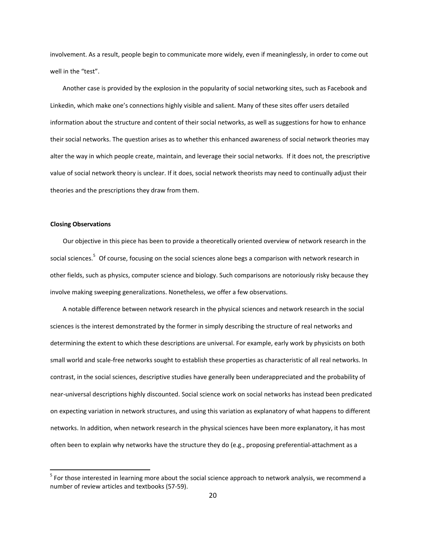involvement. As a result, people begin to communicate more widely, even if meaninglessly, in order to come out well in the "test".

Another case is provided by the explosion in the popularity of social networking sites, such as Facebook and Linkedin, which make one's connections highly visible and salient. Many of these sites offer users detailed information about the structure and content of their social networks, as well as suggestions for how to enhance their social networks. The question arises as to whether this enhanced awareness of social network theories may alter the way in which people create, maintain, and leverage their social networks. If it does not, the prescriptive value of social network theory is unclear. If it does, social network theorists may need to continually adjust their theories and the prescriptions they draw from them.

## **Closing Observations**

Our objective in this piece has been to provide a theoretically oriented overview of network research in the social sciences.<sup>[5](#page-19-0)</sup> Of course, focusing on the social sciences alone begs a comparison with network research in other fields, such as physics, computer science and biology. Such comparisons are notoriously risky because they involve making sweeping generalizations. Nonetheless, we offer a few observations.

A notable difference between network research in the physical sciences and network research in the social sciences is the interest demonstrated by the former in simply describing the structure of real networks and determining the extent to which these descriptions are universal. For example, early work by physicists on both small world and scale‐free networks sought to establish these properties as characteristic of all real networks. In contrast, in the social sciences, descriptive studies have generally been underappreciated and the probability of near‐universal descriptions highly discounted. Social science work on social networks has instead been predicated on expecting variation in network structures, and using this variation as explanatory of what happens to different networks. In addition, when network research in the physical sciences have been more explanatory, it has most often been to explain why networks have the structure they do (e.g., proposing preferential-attachment as a

<span id="page-19-0"></span> $<sup>5</sup>$  For those interested in learning more about the social science approach to network analysis, we recommend a</sup> number of review articles and textbooks (57‐59).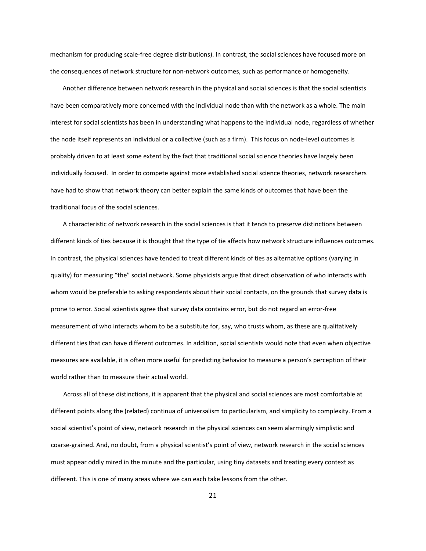mechanism for producing scale‐free degree distributions). In contrast, the social sciences have focused more on the consequences of network structure for non‐network outcomes, such as performance or homogeneity.

Another difference between network research in the physical and social sciences is that the social scientists have been comparatively more concerned with the individual node than with the network as a whole. The main interest for social scientists has been in understanding what happens to the individual node, regardless of whether the node itself represents an individual or a collective (such as a firm). This focus on node‐level outcomes is probably driven to at least some extent by the fact that traditional social science theories have largely been individually focused. In order to compete against more established social science theories, network researchers have had to show that network theory can better explain the same kinds of outcomes that have been the traditional focus of the social sciences.

A characteristic of network research in the social sciences is that it tends to preserve distinctions between different kinds of ties because it is thought that the type of tie affects how network structure influences outcomes. In contrast, the physical sciences have tended to treat different kinds of ties as alternative options (varying in quality) for measuring "the" social network. Some physicists argue that direct observation of who interacts with whom would be preferable to asking respondents about their social contacts, on the grounds that survey data is prone to error. Social scientists agree that survey data contains error, but do not regard an error‐free measurement of who interacts whom to be a substitute for, say, who trusts whom, as these are qualitatively different ties that can have different outcomes. In addition, social scientists would note that even when objective measures are available, it is often more useful for predicting behavior to measure a person's perception of their world rather than to measure their actual world.

Across all of these distinctions, it is apparent that the physical and social sciences are most comfortable at different points along the (related) continua of universalism to particularism, and simplicity to complexity. From a social scientist's point of view, network research in the physical sciences can seem alarmingly simplistic and coarse‐grained. And, no doubt, from a physical scientist's point of view, network research in the social sciences must appear oddly mired in the minute and the particular, using tiny datasets and treating every context as different. This is one of many areas where we can each take lessons from the other.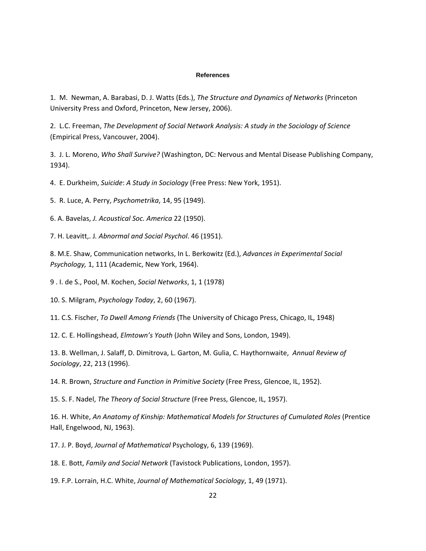#### **References**

1. M. Newman, A. Barabasi, D. J. Watts (Eds.), *The Structure and Dynamics of Networks* (Princeton University Press and Oxford, Princeton, New Jersey, 2006).

2. L.C. Freeman, *The Development of Social Network Analysis: A study in the Sociology of Science* (Empirical Press, Vancouver, 2004).

3. J. L. Moreno, *Who Shall Survive?* (Washington, DC: Nervous and Mental Disease Publishing Company, 1934).

4. E. Durkheim, *Suicide*: *A Study in Sociology* (Free Press: New York, 1951).

5. R. Luce, A. Perry, *Psychometrika*, 14, 95 (1949).

6. A. Bavelas, *J. Acoustical Soc. America* 22 (1950).

7. H. Leavitt,. J*. Abnormal and Social Psychol*. 46 (1951).

8. M.E. Shaw, Communication networks, In L. Berkowitz (Ed.), *Advances in Experimental Social Psychology,* 1, 111 (Academic, New York, 1964).

9 . I. de S., Pool, M. Kochen, *Social Networks*, 1, 1 (1978)

10. S. Milgram, *Psychology Today*, 2, 60 (1967).

11. C.S. Fischer, *To Dwell Among Friends* (The University of Chicago Press, Chicago, IL, 1948)

12. C. E. Hollingshead, *Elmtown's Youth* (John Wiley and Sons, London, 1949).

13. B. Wellman, J. Salaff, D. Dimitrova, L. Garton, M. Gulia, C. Haythornwaite, *Annual Review of Sociology*, 22, 213 (1996).

14. R. Brown, *Structure and Function in Primitive Society* (Free Press, Glencoe, IL, 1952).

15. S. F. Nadel, *The Theory of Social Structure* (Free Press, Glencoe, IL, 1957).

16. H. White, *An Anatomy of Kinship: Mathematical Models for Structures of Cumulated Roles* (Prentice Hall, Engelwood, NJ, 1963).

17. J. P. Boyd, *Journal of Mathematical* Psychology, 6, 139 (1969).

18. E. Bott, *Family and Social Network* (Tavistock Publications, London, 1957).

19. F.P. Lorrain, H.C. White, *Journal of Mathematical Sociology*, 1, 49 (1971).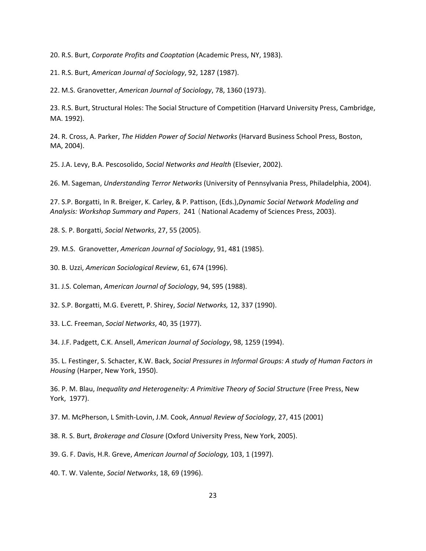20. R.S. Burt, *Corporate Profits and Cooptation* (Academic Press, NY, 1983).

21. R.S. Burt, *American Journal of Sociology*, 92, 1287 (1987).

22. M.S. Granovetter, *American Journal of Sociology*, 78, 1360 (1973).

23. R.S. Burt, Structural Holes: The Social Structure of Competition (Harvard University Press, Cambridge, MA. 1992).

24. R. Cross, A. Parker, *The Hidden Power of Social Networks* (Harvard Business School Press, Boston, MA, 2004).

25. J.A. Levy, B.A. Pescosolido, *Social Networks and Health* (Elsevier, 2002).

26. M. Sageman, *Understanding Terror Networks* (University of Pennsylvania Press, Philadelphia, 2004).

27. S.P. Borgatti, In R. Breiger, K. Carley, & P. Pattison, (Eds.),*Dynamic Social Network Modeling and Analysis: Workshop Summary and Papers*, 241 (National Academy of Sciences Press, 2003).

28. S. P. Borgatti, *Social Networks*, 27, 55 (2005).

29. M.S. Granovetter, *American Journal of Sociology*, 91, 481 (1985).

30. B. Uzzi, *American Sociological Review*, 61, 674 (1996).

31. J.S. Coleman, *American Journal of Sociology*, 94, S95 (1988).

32. S.P. Borgatti, M.G. Everett, P. Shirey, *Social Networks,* 12, 337 (1990).

33. L.C. Freeman, *Social Networks*, 40, 35 (1977).

34. J.F. Padgett, C.K. Ansell, *American Journal of Sociology*, 98, 1259 (1994).

35. L. Festinger, S. Schacter, K.W. Back, *Social Pressures in Informal Groups: A study of Human Factors in Housing* (Harper, New York, 1950).

36. P. M. Blau, *Inequality and Heterogeneity: A Primitive Theory of Social Structure* (Free Press, New York, 1977).

37. M. McPherson, L Smith‐Lovin, J.M. Cook, *Annual Review of Sociology*, 27, 415 (2001)

38. R. S. Burt, *Brokerage and Closure* (Oxford University Press, New York, 2005).

39. G. F. Davis, H.R. Greve, *American Journal of Sociology,* 103, 1 (1997).

40. T. W. Valente, *Social Networks*, 18, 69 (1996).